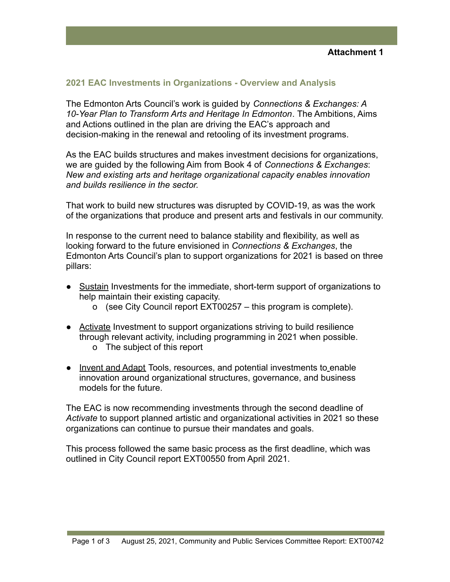## **2021 EAC Investments in Organizations - Overview and Analysis**

The Edmonton Arts Council's work is guided by *Connections & Exchanges: A 10-Year Plan to Transform Arts and Heritage In Edmonton*. The Ambitions, Aims and Actions outlined in the plan are driving the EAC's approach and decision-making in the renewal and retooling of its investment programs.

As the EAC builds structures and makes investment decisions for organizations, we are guided by the following Aim from Book 4 of *Connections & Exchanges*: *New and existing arts and heritage organizational capacity enables innovation and builds resilience in the sector.*

That work to build new structures was disrupted by COVID-19, as was the work of the organizations that produce and present arts and festivals in our community.

In response to the current need to balance stability and flexibility, as well as looking forward to the future envisioned in *Connections & Exchanges*, the Edmonton Arts Council's plan to support organizations for 2021 is based on three pillars:

- Sustain Investments for the immediate, short-term support of organizations to help maintain their existing capacity.
	- o (see City Council report EXT00257 this program is complete).
- Activate Investment to support organizations striving to build resilience through relevant activity, including programming in 2021 when possible. o The subject of this report
- Invent and Adapt Tools, resources, and potential investments to enable innovation around organizational structures, governance, and business models for the future.

The EAC is now recommending investments through the second deadline of *Activate* to support planned artistic and organizational activities in 2021 so these organizations can continue to pursue their mandates and goals.

This process followed the same basic process as the first deadline, which was outlined in City Council report EXT00550 from April 2021.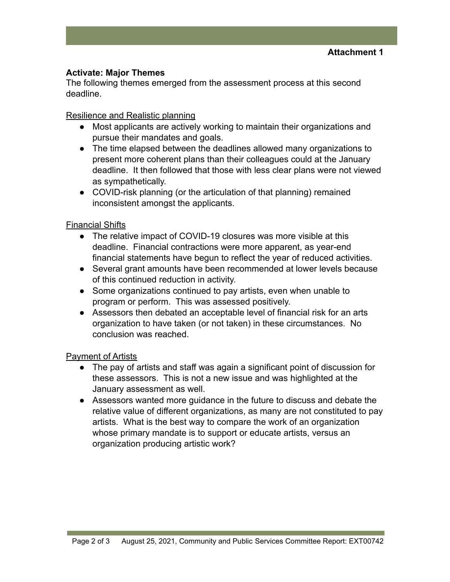## **Activate: Major Themes**

The following themes emerged from the assessment process at this second deadline.

## Resilience and Realistic planning

- Most applicants are actively working to maintain their organizations and pursue their mandates and goals.
- The time elapsed between the deadlines allowed many organizations to present more coherent plans than their colleagues could at the January deadline. It then followed that those with less clear plans were not viewed as sympathetically.
- COVID-risk planning (or the articulation of that planning) remained inconsistent amongst the applicants.

# Financial Shifts

- The relative impact of COVID-19 closures was more visible at this deadline. Financial contractions were more apparent, as year-end financial statements have begun to reflect the year of reduced activities.
- Several grant amounts have been recommended at lower levels because of this continued reduction in activity.
- Some organizations continued to pay artists, even when unable to program or perform. This was assessed positively.
- Assessors then debated an acceptable level of financial risk for an arts organization to have taken (or not taken) in these circumstances. No conclusion was reached.

## Payment of Artists

- The pay of artists and staff was again a significant point of discussion for these assessors. This is not a new issue and was highlighted at the January assessment as well.
- Assessors wanted more guidance in the future to discuss and debate the relative value of different organizations, as many are not constituted to pay artists. What is the best way to compare the work of an organization whose primary mandate is to support or educate artists, versus an organization producing artistic work?